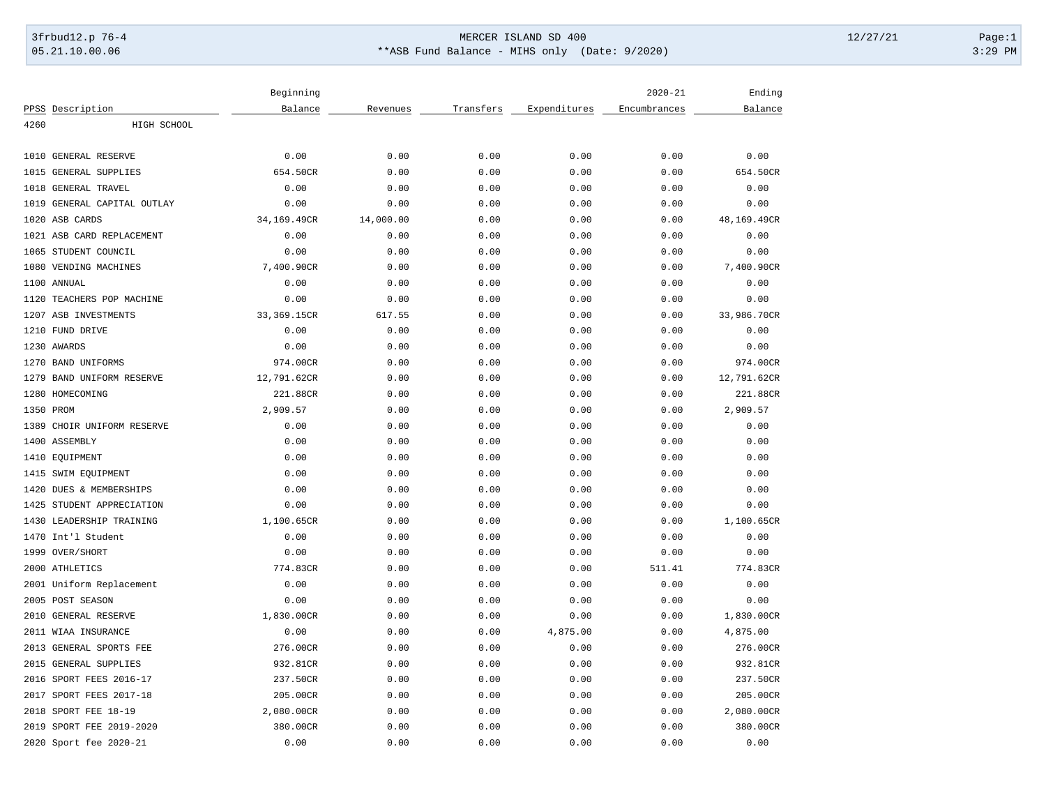# 3frbud12.p 76-4 Page:1 05.21.10.00.06 \*\*ASB Fund Balance - MIHS only (Date: 9/2020) 3:29 PM

| PPSS Description<br>Balance<br>Transfers<br>Expenditures<br>Encumbrances<br>Balance<br>Revenues<br>4260<br>HIGH SCHOOL<br>0.00<br>0.00<br>1010<br>GENERAL RESERVE<br>0.00<br>0.00<br>0.00<br>0.00<br>654.50CR<br>1015<br>GENERAL SUPPLIES<br>654.50CR<br>0.00<br>0.00<br>0.00<br>0.00<br>1018<br><b>GENERAL TRAVEL</b><br>0.00<br>0.00<br>0.00<br>0.00<br>0.00<br>0.00<br>GENERAL CAPITAL OUTLAY<br>0.00<br>0.00<br>0.00<br>0.00<br>1019<br>0.00<br>0.00<br>1020<br>ASB CARDS<br>34,169.49CR<br>14,000.00<br>0.00<br>0.00<br>0.00<br>48,169.49CR<br>1021 ASB CARD REPLACEMENT<br>0.00<br>0.00<br>0.00<br>0.00<br>0.00<br>0.00<br>STUDENT COUNCIL<br>0.00<br>0.00<br>1065<br>0.00<br>0.00<br>0.00<br>0.00<br>1080<br>VENDING MACHINES<br>7,400.90CR<br>0.00<br>0.00<br>0.00<br>0.00<br>7,400.90CR<br>1100 ANNUAL<br>0.00<br>0.00<br>0.00<br>0.00<br>0.00<br>0.00<br>TEACHERS POP MACHINE<br>0.00<br>0.00<br>0.00<br>0.00<br>0.00<br>0.00<br>1120<br>33,986.70CR<br>1207<br>ASB INVESTMENTS<br>33,369.15CR<br>617.55<br>0.00<br>0.00<br>0.00<br>1210<br>FUND DRIVE<br>0.00<br>0.00<br>0.00<br>0.00<br>0.00<br>0.00<br>1230 AWARDS<br>0.00<br>0.00<br>0.00<br>0.00<br>0.00<br>0.00<br>1270<br><b>BAND UNIFORMS</b><br>974.00CR<br>0.00<br>0.00<br>0.00<br>0.00<br>974.00CR<br>1279<br>BAND UNIFORM RESERVE<br>12,791.62CR<br>0.00<br>0.00<br>0.00<br>0.00<br>12,791.62CR<br>1280<br>HOMECOMING<br>221.88CR<br>0.00<br>0.00<br>0.00<br>0.00<br>221.88CR<br>2,909.57<br>2,909.57<br>1350 PROM<br>0.00<br>0.00<br>0.00<br>0.00<br>1389<br>CHOIR UNIFORM RESERVE<br>0.00<br>0.00<br>0.00<br>0.00<br>0.00<br>0.00<br>1400<br>ASSEMBLY<br>0.00<br>0.00<br>0.00<br>0.00<br>0.00<br>0.00<br>0.00<br>0.00<br>1410<br>EQUIPMENT<br>0.00<br>0.00<br>0.00<br>0.00<br>1415<br>SWIM EQUIPMENT<br>0.00<br>0.00<br>0.00<br>0.00<br>0.00<br>0.00<br>1420<br>DUES & MEMBERSHIPS<br>0.00<br>0.00<br>0.00<br>0.00<br>0.00<br>0.00<br>0.00<br>0.00<br>0.00<br>0.00<br>1425<br>STUDENT APPRECIATION<br>0.00<br>0.00<br>1430<br>LEADERSHIP TRAINING<br>1,100.65CR<br>0.00<br>0.00<br>0.00<br>0.00<br>1,100.65CR<br>0.00<br>1470 Int'l Student<br>0.00<br>0.00<br>0.00<br>0.00<br>0.00<br>OVER/SHORT<br>0.00<br>0.00<br>1999<br>0.00<br>0.00<br>0.00<br>0.00<br>2000 ATHLETICS<br>774.83CR<br>0.00<br>0.00<br>0.00<br>511.41<br>774.83CR<br>2001 Uniform Replacement<br>0.00<br>0.00<br>0.00<br>0.00<br>0.00<br>0.00<br>2005 POST SEASON<br>0.00<br>0.00<br>0.00<br>0.00<br>0.00<br>0.00<br>1,830.00CR<br>2010<br><b>GENERAL RESERVE</b><br>1,830.00CR<br>0.00<br>0.00<br>0.00<br>0.00<br>0.00<br>0.00<br>4,875.00<br>4,875.00<br>2011<br>WIAA INSURANCE<br>0.00<br>0.00<br>2013<br>GENERAL SPORTS FEE<br>276.00CR<br>0.00<br>0.00<br>0.00<br>0.00<br>276.00CR<br>2015<br><b>GENERAL SUPPLIES</b><br>932.81CR<br>0.00<br>0.00<br>0.00<br>0.00<br>932.81CR<br>SPORT FEES 2016-17<br>2016<br>237.50CR<br>0.00<br>0.00<br>0.00<br>0.00<br>237.50CR<br>2017<br>SPORT FEES 2017-18<br>205.00CR<br>0.00<br>0.00<br>0.00<br>0.00<br>205.00CR<br>2018 SPORT FEE 18-19<br>2,080.00CR<br>0.00<br>0.00<br>0.00<br>0.00<br>2,080.00CR<br>2019 SPORT FEE 2019-2020<br>380.00CR<br>0.00<br>0.00<br>0.00<br>0.00<br>380.00CR | Beginning |  | $2020 - 21$ | Ending |
|------------------------------------------------------------------------------------------------------------------------------------------------------------------------------------------------------------------------------------------------------------------------------------------------------------------------------------------------------------------------------------------------------------------------------------------------------------------------------------------------------------------------------------------------------------------------------------------------------------------------------------------------------------------------------------------------------------------------------------------------------------------------------------------------------------------------------------------------------------------------------------------------------------------------------------------------------------------------------------------------------------------------------------------------------------------------------------------------------------------------------------------------------------------------------------------------------------------------------------------------------------------------------------------------------------------------------------------------------------------------------------------------------------------------------------------------------------------------------------------------------------------------------------------------------------------------------------------------------------------------------------------------------------------------------------------------------------------------------------------------------------------------------------------------------------------------------------------------------------------------------------------------------------------------------------------------------------------------------------------------------------------------------------------------------------------------------------------------------------------------------------------------------------------------------------------------------------------------------------------------------------------------------------------------------------------------------------------------------------------------------------------------------------------------------------------------------------------------------------------------------------------------------------------------------------------------------------------------------------------------------------------------------------------------------------------------------------------------------------------------------------------------------------------------------------------------------------------------------------------------------------------------------------------------------------------------------------------------------------------------------------------------------------------------------------------------------------------------------------------------------------------------------------------------------------|-----------|--|-------------|--------|
|                                                                                                                                                                                                                                                                                                                                                                                                                                                                                                                                                                                                                                                                                                                                                                                                                                                                                                                                                                                                                                                                                                                                                                                                                                                                                                                                                                                                                                                                                                                                                                                                                                                                                                                                                                                                                                                                                                                                                                                                                                                                                                                                                                                                                                                                                                                                                                                                                                                                                                                                                                                                                                                                                                                                                                                                                                                                                                                                                                                                                                                                                                                                                                                    |           |  |             |        |
|                                                                                                                                                                                                                                                                                                                                                                                                                                                                                                                                                                                                                                                                                                                                                                                                                                                                                                                                                                                                                                                                                                                                                                                                                                                                                                                                                                                                                                                                                                                                                                                                                                                                                                                                                                                                                                                                                                                                                                                                                                                                                                                                                                                                                                                                                                                                                                                                                                                                                                                                                                                                                                                                                                                                                                                                                                                                                                                                                                                                                                                                                                                                                                                    |           |  |             |        |
|                                                                                                                                                                                                                                                                                                                                                                                                                                                                                                                                                                                                                                                                                                                                                                                                                                                                                                                                                                                                                                                                                                                                                                                                                                                                                                                                                                                                                                                                                                                                                                                                                                                                                                                                                                                                                                                                                                                                                                                                                                                                                                                                                                                                                                                                                                                                                                                                                                                                                                                                                                                                                                                                                                                                                                                                                                                                                                                                                                                                                                                                                                                                                                                    |           |  |             |        |
|                                                                                                                                                                                                                                                                                                                                                                                                                                                                                                                                                                                                                                                                                                                                                                                                                                                                                                                                                                                                                                                                                                                                                                                                                                                                                                                                                                                                                                                                                                                                                                                                                                                                                                                                                                                                                                                                                                                                                                                                                                                                                                                                                                                                                                                                                                                                                                                                                                                                                                                                                                                                                                                                                                                                                                                                                                                                                                                                                                                                                                                                                                                                                                                    |           |  |             |        |
|                                                                                                                                                                                                                                                                                                                                                                                                                                                                                                                                                                                                                                                                                                                                                                                                                                                                                                                                                                                                                                                                                                                                                                                                                                                                                                                                                                                                                                                                                                                                                                                                                                                                                                                                                                                                                                                                                                                                                                                                                                                                                                                                                                                                                                                                                                                                                                                                                                                                                                                                                                                                                                                                                                                                                                                                                                                                                                                                                                                                                                                                                                                                                                                    |           |  |             |        |
|                                                                                                                                                                                                                                                                                                                                                                                                                                                                                                                                                                                                                                                                                                                                                                                                                                                                                                                                                                                                                                                                                                                                                                                                                                                                                                                                                                                                                                                                                                                                                                                                                                                                                                                                                                                                                                                                                                                                                                                                                                                                                                                                                                                                                                                                                                                                                                                                                                                                                                                                                                                                                                                                                                                                                                                                                                                                                                                                                                                                                                                                                                                                                                                    |           |  |             |        |
|                                                                                                                                                                                                                                                                                                                                                                                                                                                                                                                                                                                                                                                                                                                                                                                                                                                                                                                                                                                                                                                                                                                                                                                                                                                                                                                                                                                                                                                                                                                                                                                                                                                                                                                                                                                                                                                                                                                                                                                                                                                                                                                                                                                                                                                                                                                                                                                                                                                                                                                                                                                                                                                                                                                                                                                                                                                                                                                                                                                                                                                                                                                                                                                    |           |  |             |        |
|                                                                                                                                                                                                                                                                                                                                                                                                                                                                                                                                                                                                                                                                                                                                                                                                                                                                                                                                                                                                                                                                                                                                                                                                                                                                                                                                                                                                                                                                                                                                                                                                                                                                                                                                                                                                                                                                                                                                                                                                                                                                                                                                                                                                                                                                                                                                                                                                                                                                                                                                                                                                                                                                                                                                                                                                                                                                                                                                                                                                                                                                                                                                                                                    |           |  |             |        |
|                                                                                                                                                                                                                                                                                                                                                                                                                                                                                                                                                                                                                                                                                                                                                                                                                                                                                                                                                                                                                                                                                                                                                                                                                                                                                                                                                                                                                                                                                                                                                                                                                                                                                                                                                                                                                                                                                                                                                                                                                                                                                                                                                                                                                                                                                                                                                                                                                                                                                                                                                                                                                                                                                                                                                                                                                                                                                                                                                                                                                                                                                                                                                                                    |           |  |             |        |
|                                                                                                                                                                                                                                                                                                                                                                                                                                                                                                                                                                                                                                                                                                                                                                                                                                                                                                                                                                                                                                                                                                                                                                                                                                                                                                                                                                                                                                                                                                                                                                                                                                                                                                                                                                                                                                                                                                                                                                                                                                                                                                                                                                                                                                                                                                                                                                                                                                                                                                                                                                                                                                                                                                                                                                                                                                                                                                                                                                                                                                                                                                                                                                                    |           |  |             |        |
|                                                                                                                                                                                                                                                                                                                                                                                                                                                                                                                                                                                                                                                                                                                                                                                                                                                                                                                                                                                                                                                                                                                                                                                                                                                                                                                                                                                                                                                                                                                                                                                                                                                                                                                                                                                                                                                                                                                                                                                                                                                                                                                                                                                                                                                                                                                                                                                                                                                                                                                                                                                                                                                                                                                                                                                                                                                                                                                                                                                                                                                                                                                                                                                    |           |  |             |        |
|                                                                                                                                                                                                                                                                                                                                                                                                                                                                                                                                                                                                                                                                                                                                                                                                                                                                                                                                                                                                                                                                                                                                                                                                                                                                                                                                                                                                                                                                                                                                                                                                                                                                                                                                                                                                                                                                                                                                                                                                                                                                                                                                                                                                                                                                                                                                                                                                                                                                                                                                                                                                                                                                                                                                                                                                                                                                                                                                                                                                                                                                                                                                                                                    |           |  |             |        |
|                                                                                                                                                                                                                                                                                                                                                                                                                                                                                                                                                                                                                                                                                                                                                                                                                                                                                                                                                                                                                                                                                                                                                                                                                                                                                                                                                                                                                                                                                                                                                                                                                                                                                                                                                                                                                                                                                                                                                                                                                                                                                                                                                                                                                                                                                                                                                                                                                                                                                                                                                                                                                                                                                                                                                                                                                                                                                                                                                                                                                                                                                                                                                                                    |           |  |             |        |
|                                                                                                                                                                                                                                                                                                                                                                                                                                                                                                                                                                                                                                                                                                                                                                                                                                                                                                                                                                                                                                                                                                                                                                                                                                                                                                                                                                                                                                                                                                                                                                                                                                                                                                                                                                                                                                                                                                                                                                                                                                                                                                                                                                                                                                                                                                                                                                                                                                                                                                                                                                                                                                                                                                                                                                                                                                                                                                                                                                                                                                                                                                                                                                                    |           |  |             |        |
|                                                                                                                                                                                                                                                                                                                                                                                                                                                                                                                                                                                                                                                                                                                                                                                                                                                                                                                                                                                                                                                                                                                                                                                                                                                                                                                                                                                                                                                                                                                                                                                                                                                                                                                                                                                                                                                                                                                                                                                                                                                                                                                                                                                                                                                                                                                                                                                                                                                                                                                                                                                                                                                                                                                                                                                                                                                                                                                                                                                                                                                                                                                                                                                    |           |  |             |        |
|                                                                                                                                                                                                                                                                                                                                                                                                                                                                                                                                                                                                                                                                                                                                                                                                                                                                                                                                                                                                                                                                                                                                                                                                                                                                                                                                                                                                                                                                                                                                                                                                                                                                                                                                                                                                                                                                                                                                                                                                                                                                                                                                                                                                                                                                                                                                                                                                                                                                                                                                                                                                                                                                                                                                                                                                                                                                                                                                                                                                                                                                                                                                                                                    |           |  |             |        |
|                                                                                                                                                                                                                                                                                                                                                                                                                                                                                                                                                                                                                                                                                                                                                                                                                                                                                                                                                                                                                                                                                                                                                                                                                                                                                                                                                                                                                                                                                                                                                                                                                                                                                                                                                                                                                                                                                                                                                                                                                                                                                                                                                                                                                                                                                                                                                                                                                                                                                                                                                                                                                                                                                                                                                                                                                                                                                                                                                                                                                                                                                                                                                                                    |           |  |             |        |
|                                                                                                                                                                                                                                                                                                                                                                                                                                                                                                                                                                                                                                                                                                                                                                                                                                                                                                                                                                                                                                                                                                                                                                                                                                                                                                                                                                                                                                                                                                                                                                                                                                                                                                                                                                                                                                                                                                                                                                                                                                                                                                                                                                                                                                                                                                                                                                                                                                                                                                                                                                                                                                                                                                                                                                                                                                                                                                                                                                                                                                                                                                                                                                                    |           |  |             |        |
|                                                                                                                                                                                                                                                                                                                                                                                                                                                                                                                                                                                                                                                                                                                                                                                                                                                                                                                                                                                                                                                                                                                                                                                                                                                                                                                                                                                                                                                                                                                                                                                                                                                                                                                                                                                                                                                                                                                                                                                                                                                                                                                                                                                                                                                                                                                                                                                                                                                                                                                                                                                                                                                                                                                                                                                                                                                                                                                                                                                                                                                                                                                                                                                    |           |  |             |        |
|                                                                                                                                                                                                                                                                                                                                                                                                                                                                                                                                                                                                                                                                                                                                                                                                                                                                                                                                                                                                                                                                                                                                                                                                                                                                                                                                                                                                                                                                                                                                                                                                                                                                                                                                                                                                                                                                                                                                                                                                                                                                                                                                                                                                                                                                                                                                                                                                                                                                                                                                                                                                                                                                                                                                                                                                                                                                                                                                                                                                                                                                                                                                                                                    |           |  |             |        |
|                                                                                                                                                                                                                                                                                                                                                                                                                                                                                                                                                                                                                                                                                                                                                                                                                                                                                                                                                                                                                                                                                                                                                                                                                                                                                                                                                                                                                                                                                                                                                                                                                                                                                                                                                                                                                                                                                                                                                                                                                                                                                                                                                                                                                                                                                                                                                                                                                                                                                                                                                                                                                                                                                                                                                                                                                                                                                                                                                                                                                                                                                                                                                                                    |           |  |             |        |
|                                                                                                                                                                                                                                                                                                                                                                                                                                                                                                                                                                                                                                                                                                                                                                                                                                                                                                                                                                                                                                                                                                                                                                                                                                                                                                                                                                                                                                                                                                                                                                                                                                                                                                                                                                                                                                                                                                                                                                                                                                                                                                                                                                                                                                                                                                                                                                                                                                                                                                                                                                                                                                                                                                                                                                                                                                                                                                                                                                                                                                                                                                                                                                                    |           |  |             |        |
|                                                                                                                                                                                                                                                                                                                                                                                                                                                                                                                                                                                                                                                                                                                                                                                                                                                                                                                                                                                                                                                                                                                                                                                                                                                                                                                                                                                                                                                                                                                                                                                                                                                                                                                                                                                                                                                                                                                                                                                                                                                                                                                                                                                                                                                                                                                                                                                                                                                                                                                                                                                                                                                                                                                                                                                                                                                                                                                                                                                                                                                                                                                                                                                    |           |  |             |        |
|                                                                                                                                                                                                                                                                                                                                                                                                                                                                                                                                                                                                                                                                                                                                                                                                                                                                                                                                                                                                                                                                                                                                                                                                                                                                                                                                                                                                                                                                                                                                                                                                                                                                                                                                                                                                                                                                                                                                                                                                                                                                                                                                                                                                                                                                                                                                                                                                                                                                                                                                                                                                                                                                                                                                                                                                                                                                                                                                                                                                                                                                                                                                                                                    |           |  |             |        |
|                                                                                                                                                                                                                                                                                                                                                                                                                                                                                                                                                                                                                                                                                                                                                                                                                                                                                                                                                                                                                                                                                                                                                                                                                                                                                                                                                                                                                                                                                                                                                                                                                                                                                                                                                                                                                                                                                                                                                                                                                                                                                                                                                                                                                                                                                                                                                                                                                                                                                                                                                                                                                                                                                                                                                                                                                                                                                                                                                                                                                                                                                                                                                                                    |           |  |             |        |
|                                                                                                                                                                                                                                                                                                                                                                                                                                                                                                                                                                                                                                                                                                                                                                                                                                                                                                                                                                                                                                                                                                                                                                                                                                                                                                                                                                                                                                                                                                                                                                                                                                                                                                                                                                                                                                                                                                                                                                                                                                                                                                                                                                                                                                                                                                                                                                                                                                                                                                                                                                                                                                                                                                                                                                                                                                                                                                                                                                                                                                                                                                                                                                                    |           |  |             |        |
|                                                                                                                                                                                                                                                                                                                                                                                                                                                                                                                                                                                                                                                                                                                                                                                                                                                                                                                                                                                                                                                                                                                                                                                                                                                                                                                                                                                                                                                                                                                                                                                                                                                                                                                                                                                                                                                                                                                                                                                                                                                                                                                                                                                                                                                                                                                                                                                                                                                                                                                                                                                                                                                                                                                                                                                                                                                                                                                                                                                                                                                                                                                                                                                    |           |  |             |        |
|                                                                                                                                                                                                                                                                                                                                                                                                                                                                                                                                                                                                                                                                                                                                                                                                                                                                                                                                                                                                                                                                                                                                                                                                                                                                                                                                                                                                                                                                                                                                                                                                                                                                                                                                                                                                                                                                                                                                                                                                                                                                                                                                                                                                                                                                                                                                                                                                                                                                                                                                                                                                                                                                                                                                                                                                                                                                                                                                                                                                                                                                                                                                                                                    |           |  |             |        |
|                                                                                                                                                                                                                                                                                                                                                                                                                                                                                                                                                                                                                                                                                                                                                                                                                                                                                                                                                                                                                                                                                                                                                                                                                                                                                                                                                                                                                                                                                                                                                                                                                                                                                                                                                                                                                                                                                                                                                                                                                                                                                                                                                                                                                                                                                                                                                                                                                                                                                                                                                                                                                                                                                                                                                                                                                                                                                                                                                                                                                                                                                                                                                                                    |           |  |             |        |
|                                                                                                                                                                                                                                                                                                                                                                                                                                                                                                                                                                                                                                                                                                                                                                                                                                                                                                                                                                                                                                                                                                                                                                                                                                                                                                                                                                                                                                                                                                                                                                                                                                                                                                                                                                                                                                                                                                                                                                                                                                                                                                                                                                                                                                                                                                                                                                                                                                                                                                                                                                                                                                                                                                                                                                                                                                                                                                                                                                                                                                                                                                                                                                                    |           |  |             |        |
|                                                                                                                                                                                                                                                                                                                                                                                                                                                                                                                                                                                                                                                                                                                                                                                                                                                                                                                                                                                                                                                                                                                                                                                                                                                                                                                                                                                                                                                                                                                                                                                                                                                                                                                                                                                                                                                                                                                                                                                                                                                                                                                                                                                                                                                                                                                                                                                                                                                                                                                                                                                                                                                                                                                                                                                                                                                                                                                                                                                                                                                                                                                                                                                    |           |  |             |        |
|                                                                                                                                                                                                                                                                                                                                                                                                                                                                                                                                                                                                                                                                                                                                                                                                                                                                                                                                                                                                                                                                                                                                                                                                                                                                                                                                                                                                                                                                                                                                                                                                                                                                                                                                                                                                                                                                                                                                                                                                                                                                                                                                                                                                                                                                                                                                                                                                                                                                                                                                                                                                                                                                                                                                                                                                                                                                                                                                                                                                                                                                                                                                                                                    |           |  |             |        |
|                                                                                                                                                                                                                                                                                                                                                                                                                                                                                                                                                                                                                                                                                                                                                                                                                                                                                                                                                                                                                                                                                                                                                                                                                                                                                                                                                                                                                                                                                                                                                                                                                                                                                                                                                                                                                                                                                                                                                                                                                                                                                                                                                                                                                                                                                                                                                                                                                                                                                                                                                                                                                                                                                                                                                                                                                                                                                                                                                                                                                                                                                                                                                                                    |           |  |             |        |
|                                                                                                                                                                                                                                                                                                                                                                                                                                                                                                                                                                                                                                                                                                                                                                                                                                                                                                                                                                                                                                                                                                                                                                                                                                                                                                                                                                                                                                                                                                                                                                                                                                                                                                                                                                                                                                                                                                                                                                                                                                                                                                                                                                                                                                                                                                                                                                                                                                                                                                                                                                                                                                                                                                                                                                                                                                                                                                                                                                                                                                                                                                                                                                                    |           |  |             |        |
|                                                                                                                                                                                                                                                                                                                                                                                                                                                                                                                                                                                                                                                                                                                                                                                                                                                                                                                                                                                                                                                                                                                                                                                                                                                                                                                                                                                                                                                                                                                                                                                                                                                                                                                                                                                                                                                                                                                                                                                                                                                                                                                                                                                                                                                                                                                                                                                                                                                                                                                                                                                                                                                                                                                                                                                                                                                                                                                                                                                                                                                                                                                                                                                    |           |  |             |        |
|                                                                                                                                                                                                                                                                                                                                                                                                                                                                                                                                                                                                                                                                                                                                                                                                                                                                                                                                                                                                                                                                                                                                                                                                                                                                                                                                                                                                                                                                                                                                                                                                                                                                                                                                                                                                                                                                                                                                                                                                                                                                                                                                                                                                                                                                                                                                                                                                                                                                                                                                                                                                                                                                                                                                                                                                                                                                                                                                                                                                                                                                                                                                                                                    |           |  |             |        |
|                                                                                                                                                                                                                                                                                                                                                                                                                                                                                                                                                                                                                                                                                                                                                                                                                                                                                                                                                                                                                                                                                                                                                                                                                                                                                                                                                                                                                                                                                                                                                                                                                                                                                                                                                                                                                                                                                                                                                                                                                                                                                                                                                                                                                                                                                                                                                                                                                                                                                                                                                                                                                                                                                                                                                                                                                                                                                                                                                                                                                                                                                                                                                                                    |           |  |             |        |
|                                                                                                                                                                                                                                                                                                                                                                                                                                                                                                                                                                                                                                                                                                                                                                                                                                                                                                                                                                                                                                                                                                                                                                                                                                                                                                                                                                                                                                                                                                                                                                                                                                                                                                                                                                                                                                                                                                                                                                                                                                                                                                                                                                                                                                                                                                                                                                                                                                                                                                                                                                                                                                                                                                                                                                                                                                                                                                                                                                                                                                                                                                                                                                                    |           |  |             |        |
|                                                                                                                                                                                                                                                                                                                                                                                                                                                                                                                                                                                                                                                                                                                                                                                                                                                                                                                                                                                                                                                                                                                                                                                                                                                                                                                                                                                                                                                                                                                                                                                                                                                                                                                                                                                                                                                                                                                                                                                                                                                                                                                                                                                                                                                                                                                                                                                                                                                                                                                                                                                                                                                                                                                                                                                                                                                                                                                                                                                                                                                                                                                                                                                    |           |  |             |        |
|                                                                                                                                                                                                                                                                                                                                                                                                                                                                                                                                                                                                                                                                                                                                                                                                                                                                                                                                                                                                                                                                                                                                                                                                                                                                                                                                                                                                                                                                                                                                                                                                                                                                                                                                                                                                                                                                                                                                                                                                                                                                                                                                                                                                                                                                                                                                                                                                                                                                                                                                                                                                                                                                                                                                                                                                                                                                                                                                                                                                                                                                                                                                                                                    |           |  |             |        |
| 0.00<br>0.00<br>0.00<br>0.00<br>2020 Sport fee 2020-21<br>0.00<br>0.00                                                                                                                                                                                                                                                                                                                                                                                                                                                                                                                                                                                                                                                                                                                                                                                                                                                                                                                                                                                                                                                                                                                                                                                                                                                                                                                                                                                                                                                                                                                                                                                                                                                                                                                                                                                                                                                                                                                                                                                                                                                                                                                                                                                                                                                                                                                                                                                                                                                                                                                                                                                                                                                                                                                                                                                                                                                                                                                                                                                                                                                                                                             |           |  |             |        |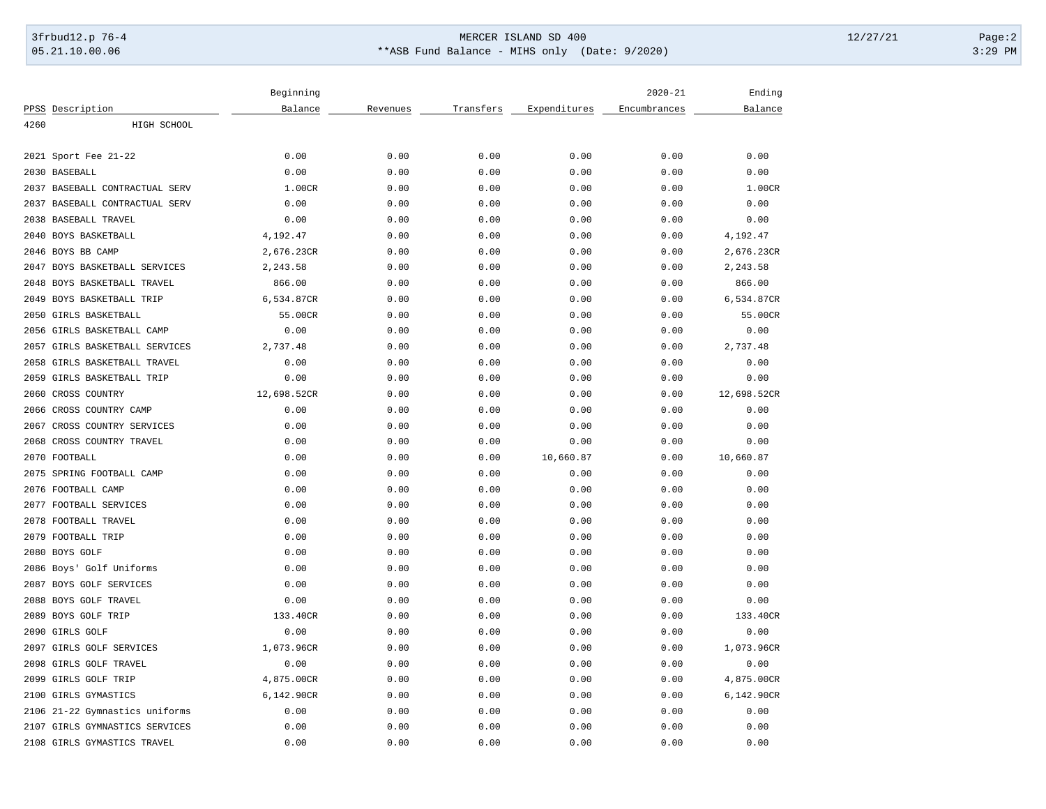# 3frbud12.p 76-4 Page:2 05.21.10.00.06 \*\*ASB Fund Balance - MIHS only (Date: 9/2020) 3:29 PM

|                                | Beginning   |          |           |              | Ending       |             |
|--------------------------------|-------------|----------|-----------|--------------|--------------|-------------|
| PPSS Description               | Balance     | Revenues | Transfers | Expenditures | Encumbrances | Balance     |
| 4260<br>HIGH SCHOOL            |             |          |           |              |              |             |
|                                |             |          |           |              |              |             |
| 2021 Sport Fee 21-22           | 0.00        | 0.00     | 0.00      | 0.00         | 0.00         | 0.00        |
| 2030 BASEBALL                  | 0.00        | 0.00     | 0.00      | 0.00         | 0.00         | 0.00        |
| 2037 BASEBALL CONTRACTUAL SERV | 1.00CR      | 0.00     | 0.00      | 0.00         | 0.00         | 1.00CR      |
| 2037 BASEBALL CONTRACTUAL SERV | 0.00        | 0.00     | 0.00      | 0.00         | 0.00         | 0.00        |
| 2038 BASEBALL TRAVEL           | 0.00        | 0.00     | 0.00      | 0.00         | 0.00         | 0.00        |
| 2040<br><b>BOYS BASKETBALL</b> | 4,192.47    | 0.00     | 0.00      | 0.00         | 0.00         | 4,192.47    |
| 2046 BOYS BB CAMP              | 2,676.23CR  | 0.00     | 0.00      | 0.00         | 0.00         | 2,676.23CR  |
| 2047 BOYS BASKETBALL SERVICES  | 2,243.58    | 0.00     | 0.00      | 0.00         | 0.00         | 2,243.58    |
| 2048<br>BOYS BASKETBALL TRAVEL | 866.00      | 0.00     | 0.00      | 0.00         | 0.00         | 866.00      |
| BOYS BASKETBALL TRIP<br>2049   | 6,534.87CR  | 0.00     | 0.00      | 0.00         | 0.00         | 6,534.87CR  |
| 2050<br>GIRLS BASKETBALL       | 55.00CR     | 0.00     | 0.00      | 0.00         | 0.00         | 55.00CR     |
| 2056<br>GIRLS BASKETBALL CAMP  | 0.00        | 0.00     | 0.00      | 0.00         | 0.00         | 0.00        |
| 2057 GIRLS BASKETBALL SERVICES | 2,737.48    | 0.00     | 0.00      | 0.00         | 0.00         | 2,737.48    |
| 2058 GIRLS BASKETBALL TRAVEL   | 0.00        | 0.00     | 0.00      | 0.00         | 0.00         | 0.00        |
| 2059<br>GIRLS BASKETBALL TRIP  | 0.00        | 0.00     | 0.00      | 0.00         | 0.00         | 0.00        |
| 2060<br>CROSS COUNTRY          | 12,698.52CR | 0.00     | 0.00      | 0.00         | 0.00         | 12,698.52CR |
| 2066<br>CROSS COUNTRY CAMP     | 0.00        | 0.00     | 0.00      | 0.00         | 0.00         | 0.00        |
| CROSS COUNTRY SERVICES<br>2067 | 0.00        | 0.00     | 0.00      | 0.00         | 0.00         | 0.00        |
| 2068<br>CROSS COUNTRY TRAVEL   | 0.00        | 0.00     | 0.00      | 0.00         | 0.00         | 0.00        |
| 2070 FOOTBALL                  | 0.00        | 0.00     | 0.00      | 10,660.87    | 0.00         | 10,660.87   |
| 2075<br>SPRING FOOTBALL CAMP   | 0.00        | 0.00     | 0.00      | 0.00         | 0.00         | 0.00        |
| 2076 FOOTBALL CAMP             | 0.00        | 0.00     | 0.00      | 0.00         | 0.00         | 0.00        |
| 2077 FOOTBALL SERVICES         | 0.00        | 0.00     | 0.00      | 0.00         | 0.00         | 0.00        |
| 2078<br>FOOTBALL TRAVEL        | 0.00        | 0.00     | 0.00      | 0.00         | 0.00         | 0.00        |
| 2079<br>FOOTBALL TRIP          | 0.00        | 0.00     | 0.00      | 0.00         | 0.00         | 0.00        |
| 2080<br>BOYS GOLF              | 0.00        | 0.00     | 0.00      | 0.00         | 0.00         | 0.00        |
| 2086 Boys' Golf Uniforms       | 0.00        | 0.00     | 0.00      | 0.00         | 0.00         | 0.00        |
| 2087 BOYS GOLF SERVICES        | 0.00        | 0.00     | 0.00      | 0.00         | 0.00         | 0.00        |
| 2088<br>BOYS GOLF TRAVEL       | 0.00        | 0.00     | 0.00      | 0.00         | 0.00         | 0.00        |
| 2089<br>BOYS GOLF TRIP         | 133.40CR    | 0.00     | 0.00      | 0.00         | 0.00         | 133.40CR    |
| 2090 GIRLS GOLF                | 0.00        | 0.00     | 0.00      | 0.00         | 0.00         | 0.00        |
| 2097 GIRLS GOLF SERVICES       | 1,073.96CR  | 0.00     | 0.00      | 0.00         | 0.00         | 1,073.96CR  |
| GIRLS GOLF TRAVEL<br>2098      | 0.00        | 0.00     | 0.00      | 0.00         | 0.00         | 0.00        |
| 2099<br>GIRLS GOLF TRIP        | 4,875.00CR  | 0.00     | 0.00      | 0.00         | 0.00         | 4,875.00CR  |
| GIRLS GYMASTICS<br>2100        | 6,142.90CR  | 0.00     | 0.00      | 0.00         | 0.00         | 6,142.90CR  |
| 2106 21-22 Gymnastics uniforms | 0.00        | 0.00     | 0.00      | 0.00         | 0.00         | 0.00        |
| 2107 GIRLS GYMNASTICS SERVICES | 0.00        | 0.00     | 0.00      | 0.00         | 0.00         | 0.00        |
|                                | 0.00        | 0.00     |           |              |              | 0.00        |
| 2108 GIRLS GYMASTICS TRAVEL    |             |          | 0.00      | 0.00         | 0.00         |             |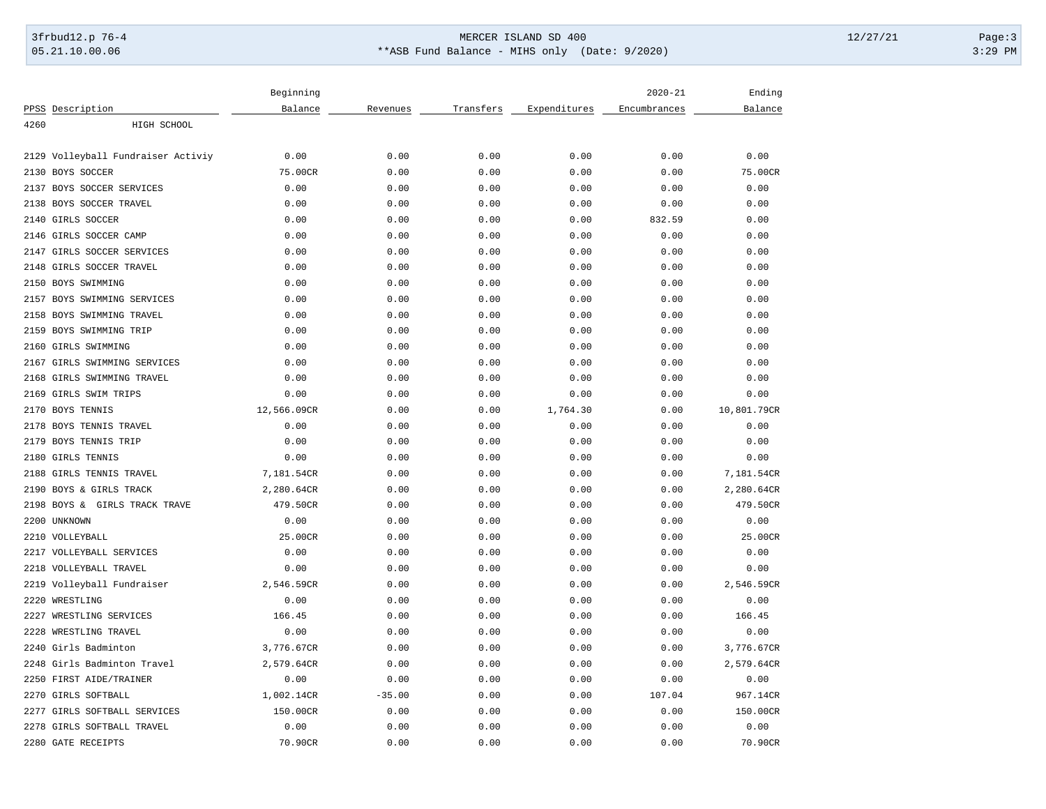# 3frbud12.p 76-4 Page:3 05.21.10.00.06 \*\*ASB Fund Balance - MIHS only (Date: 9/2020) 3:29 PM

|                                       | Beginning   |          |           |              | $2020 - 21$  | Ending      |
|---------------------------------------|-------------|----------|-----------|--------------|--------------|-------------|
| PPSS Description                      | Balance     | Revenues | Transfers | Expenditures | Encumbrances | Balance     |
| 4260<br>HIGH SCHOOL                   |             |          |           |              |              |             |
| 2129<br>Volleyball Fundraiser Activiy | 0.00        | 0.00     | 0.00      | 0.00         | 0.00         | 0.00        |
|                                       |             |          |           |              |              |             |
| 2130<br>BOYS SOCCER                   | 75.00CR     | 0.00     | 0.00      | 0.00         | 0.00         | 75.00CR     |
| 2137<br>BOYS SOCCER SERVICES          | 0.00        | 0.00     | 0.00      | 0.00         | 0.00         | 0.00        |
| BOYS SOCCER TRAVEL<br>2138            | 0.00        | 0.00     | 0.00      | 0.00         | 0.00         | 0.00        |
| 2140<br>GIRLS SOCCER                  | 0.00        | 0.00     | 0.00      | 0.00         | 832.59       | 0.00        |
| GIRLS SOCCER CAMP<br>2146             | 0.00        | 0.00     | 0.00      | 0.00         | 0.00         | 0.00        |
| 2147<br>GIRLS SOCCER SERVICES         | 0.00        | 0.00     | 0.00      | 0.00         | 0.00         | 0.00        |
| GIRLS SOCCER TRAVEL<br>2148           | 0.00        | 0.00     | 0.00      | 0.00         | 0.00         | 0.00        |
| BOYS SWIMMING<br>2150                 | 0.00        | 0.00     | 0.00      | 0.00         | 0.00         | 0.00        |
| 2157<br>BOYS SWIMMING SERVICES        | 0.00        | 0.00     | 0.00      | 0.00         | 0.00         | 0.00        |
| 2158<br>BOYS SWIMMING TRAVEL          | 0.00        | 0.00     | 0.00      | 0.00         | 0.00         | 0.00        |
| BOYS SWIMMING TRIP<br>2159            | 0.00        | 0.00     | 0.00      | 0.00         | 0.00         | 0.00        |
| 2160<br>GIRLS SWIMMING                | 0.00        | 0.00     | 0.00      | 0.00         | 0.00         | 0.00        |
| 2167<br>GIRLS SWIMMING SERVICES       | 0.00        | 0.00     | 0.00      | 0.00         | 0.00         | 0.00        |
| 2168<br>GIRLS SWIMMING TRAVEL         | 0.00        | 0.00     | 0.00      | 0.00         | 0.00         | 0.00        |
| 2169<br>GIRLS SWIM TRIPS              | 0.00        | 0.00     | 0.00      | 0.00         | 0.00         | 0.00        |
| 2170<br><b>BOYS TENNIS</b>            | 12,566.09CR | 0.00     | 0.00      | 1,764.30     | 0.00         | 10,801.79CR |
| BOYS TENNIS TRAVEL<br>2178            | 0.00        | 0.00     | 0.00      | 0.00         | 0.00         | 0.00        |
| 2179<br>BOYS TENNIS TRIP              | 0.00        | 0.00     | 0.00      | 0.00         | 0.00         | 0.00        |
| 2180<br>GIRLS TENNIS                  | 0.00        | 0.00     | 0.00      | 0.00         | 0.00         | 0.00        |
| 2188<br>GIRLS TENNIS TRAVEL           | 7,181.54CR  | 0.00     | 0.00      | 0.00         | 0.00         | 7,181.54CR  |
| 2190<br>BOYS & GIRLS TRACK            | 2,280.64CR  | 0.00     | 0.00      | 0.00         | 0.00         | 2,280.64CR  |
| 2198 BOYS & GIRLS TRACK TRAVE         | 479.50CR    | 0.00     | 0.00      | 0.00         | 0.00         | 479.50CR    |
| 2200<br>UNKNOWN                       | 0.00        | 0.00     | 0.00      | 0.00         | 0.00         | 0.00        |
| 2210 VOLLEYBALL                       | 25.00CR     | 0.00     | 0.00      | 0.00         | 0.00         | 25.00CR     |
| 2217<br>VOLLEYBALL SERVICES           | 0.00        | 0.00     | 0.00      | 0.00         | 0.00         | 0.00        |
| 2218<br>VOLLEYBALL TRAVEL             | 0.00        | 0.00     | 0.00      | 0.00         | 0.00         | 0.00        |
| Volleyball Fundraiser<br>2219         | 2,546.59CR  | 0.00     | 0.00      | 0.00         | 0.00         | 2,546.59CR  |
| WRESTLING<br>2220                     | 0.00        | 0.00     | 0.00      | 0.00         | 0.00         | 0.00        |
| 2227<br>WRESTLING SERVICES            | 166.45      | 0.00     | 0.00      | 0.00         | 0.00         | 166.45      |
| 2228<br>WRESTLING TRAVEL              | 0.00        | 0.00     | 0.00      | 0.00         | 0.00         | 0.00        |
| 2240<br>Girls Badminton               | 3,776.67CR  | 0.00     | 0.00      | 0.00         | 0.00         | 3,776.67CR  |
| 2248<br>Girls Badminton Travel        | 2,579.64CR  | 0.00     | 0.00      | 0.00         | 0.00         | 2,579.64CR  |
| 2250<br>FIRST AIDE/TRAINER            | 0.00        | 0.00     | 0.00      | 0.00         | 0.00         | 0.00        |
| 2270<br><b>GIRLS SOFTBALL</b>         | 1,002.14CR  | $-35.00$ | 0.00      | 0.00         | 107.04       | 967.14CR    |
| 2277<br>GIRLS SOFTBALL SERVICES       | 150.00CR    | 0.00     | 0.00      | 0.00         | 0.00         | 150.00CR    |
| 2278 GIRLS SOFTBALL TRAVEL            | 0.00        | 0.00     | 0.00      | 0.00         | 0.00         | 0.00        |
| 2280 GATE RECEIPTS                    | 70.90CR     | 0.00     | 0.00      | 0.00         | 0.00         | 70.90CR     |
|                                       |             |          |           |              |              |             |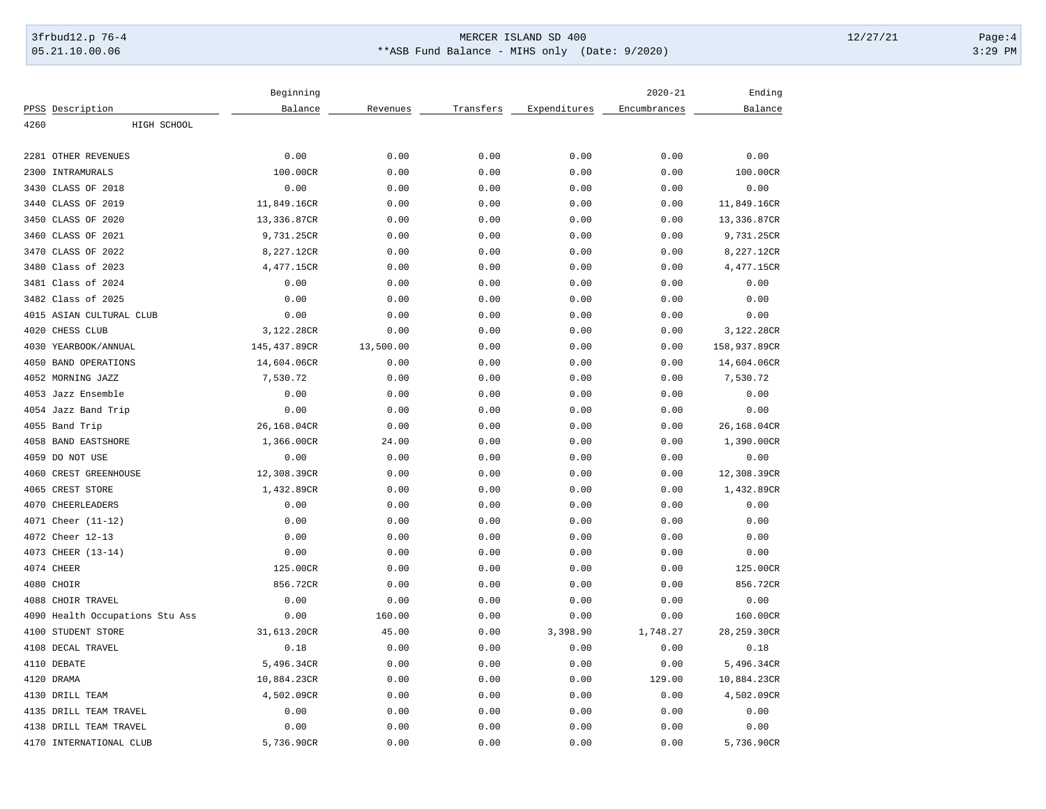# 3frbud12.p 76-4 Page:4 Page:4 05.21.10.00.06 \*\*ASB Fund Balance - MIHS only (Date: 9/2020) 3:29 PM

|                                    | Beginning    |           |           |              | $2020 - 21$  | Ending       |
|------------------------------------|--------------|-----------|-----------|--------------|--------------|--------------|
| PPSS Description                   | Balance      | Revenues  | Transfers | Expenditures | Encumbrances | Balance      |
| 4260<br>HIGH SCHOOL                |              |           |           |              |              |              |
|                                    |              |           |           |              |              |              |
| 2281<br>OTHER REVENUES             | 0.00         | 0.00      | 0.00      | 0.00         | 0.00         | 0.00         |
| 2300<br>INTRAMURALS                | 100.00CR     | 0.00      | 0.00      | 0.00         | 0.00         | 100.00CR     |
| 3430<br>CLASS OF 2018              | 0.00         | 0.00      | 0.00      | 0.00         | 0.00         | 0.00         |
| CLASS OF 2019<br>3440              | 11,849.16CR  | 0.00      | 0.00      | 0.00         | 0.00         | 11,849.16CR  |
| CLASS OF 2020<br>3450              | 13,336.87CR  | 0.00      | 0.00      | 0.00         | 0.00         | 13,336.87CR  |
| CLASS OF 2021<br>3460              | 9,731.25CR   | 0.00      | 0.00      | 0.00         | 0.00         | 9,731.25CR   |
| 3470<br>CLASS OF 2022              | 8,227.12CR   | 0.00      | 0.00      | 0.00         | 0.00         | 8,227.12CR   |
| Class of 2023<br>3480              | 4,477.15CR   | 0.00      | 0.00      | 0.00         | 0.00         | 4,477.15CR   |
| 3481 Class of 2024                 | 0.00         | 0.00      | 0.00      | 0.00         | 0.00         | 0.00         |
| 3482 Class of 2025                 | 0.00         | 0.00      | 0.00      | 0.00         | 0.00         | 0.00         |
| 4015<br>ASIAN CULTURAL CLUB        | 0.00         | 0.00      | 0.00      | 0.00         | 0.00         | 0.00         |
| 4020<br>CHESS CLUB                 | 3,122.28CR   | 0.00      | 0.00      | 0.00         | 0.00         | 3,122.28CR   |
| 4030<br>YEARBOOK/ANNUAL            | 145,437.89CR | 13,500.00 | 0.00      | 0.00         | 0.00         | 158,937.89CR |
| 4050<br><b>BAND OPERATIONS</b>     | 14,604.06CR  | 0.00      | 0.00      | 0.00         | 0.00         | 14,604.06CR  |
| 4052 MORNING JAZZ                  | 7,530.72     | 0.00      | 0.00      | 0.00         | 0.00         | 7,530.72     |
| 4053 Jazz Ensemble                 | 0.00         | 0.00      | 0.00      | 0.00         | 0.00         | 0.00         |
| 4054 Jazz Band Trip                | 0.00         | 0.00      | 0.00      | 0.00         | 0.00         | 0.00         |
| 4055 Band Trip                     | 26,168.04CR  | 0.00      | 0.00      | 0.00         | 0.00         | 26,168.04CR  |
| <b>BAND EASTSHORE</b><br>4058      | 1,366.00CR   | 24.00     | 0.00      | 0.00         | 0.00         | 1,390.00CR   |
| DO NOT USE<br>4059                 | 0.00         | 0.00      | 0.00      | 0.00         | 0.00         | 0.00         |
| 4060<br>CREST GREENHOUSE           | 12,308.39CR  | 0.00      | 0.00      | 0.00         | 0.00         | 12,308.39CR  |
| 4065<br>CREST STORE                | 1,432.89CR   | 0.00      | 0.00      | 0.00         | 0.00         | 1,432.89CR   |
| 4070<br><b>CHEERLEADERS</b>        | 0.00         | 0.00      | 0.00      | 0.00         | 0.00         | 0.00         |
| 4071 Cheer (11-12)                 | 0.00         | 0.00      | 0.00      | 0.00         | 0.00         | 0.00         |
| 4072 Cheer 12-13                   | 0.00         | 0.00      | 0.00      | 0.00         | 0.00         | 0.00         |
| 4073<br>CHEER (13-14)              | 0.00         | 0.00      | 0.00      | 0.00         | 0.00         | 0.00         |
| 4074 CHEER                         | 125.00CR     | 0.00      | 0.00      | 0.00         | 0.00         | 125.00CR     |
| 4080 CHOIR                         | 856.72CR     | 0.00      | 0.00      | 0.00         | 0.00         | 856.72CR     |
| CHOIR TRAVEL<br>4088               | 0.00         | 0.00      | 0.00      | 0.00         | 0.00         | 0.00         |
| 4090<br>Health Occupations Stu Ass | 0.00         | 160.00    | 0.00      | 0.00         | 0.00         | 160.00CR     |
| STUDENT STORE<br>4100              | 31,613.20CR  | 45.00     | 0.00      | 3,398.90     | 1,748.27     | 28,259.30CR  |
| 4108 DECAL TRAVEL                  | 0.18         | 0.00      | 0.00      | 0.00         | 0.00         | 0.18         |
| 4110 DEBATE                        | 5,496.34CR   | 0.00      | 0.00      | 0.00         | 0.00         | 5,496.34CR   |
| 4120 DRAMA                         | 10,884.23CR  | 0.00      | 0.00      | 0.00         | 129.00       | 10,884.23CR  |
| 4130 DRILL TEAM                    | 4,502.09CR   | 0.00      | 0.00      | 0.00         | 0.00         | 4,502.09CR   |
| 4135<br>DRILL TEAM TRAVEL          | 0.00         | 0.00      | 0.00      | 0.00         | 0.00         | 0.00         |
| 4138 DRILL TEAM TRAVEL             | 0.00         | 0.00      | 0.00      | 0.00         | 0.00         | 0.00         |
| 4170 INTERNATIONAL CLUB            | 5,736.90CR   | 0.00      | 0.00      | 0.00         | 0.00         | 5,736.90CR   |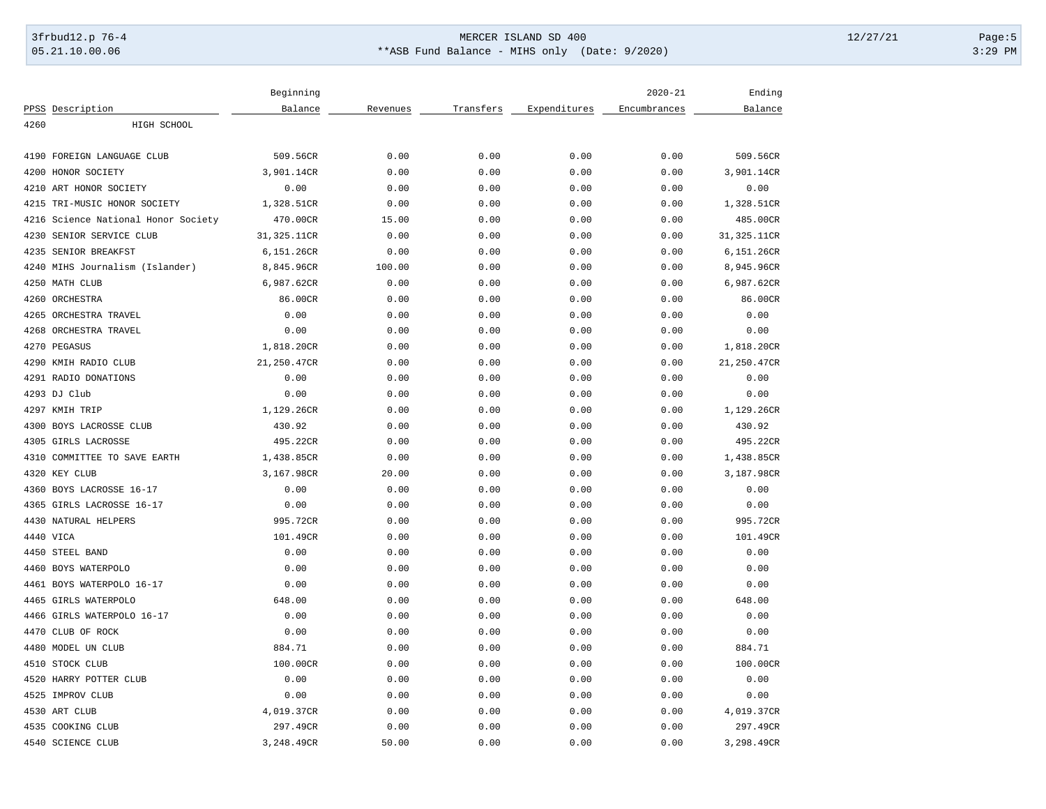# 3frbud12.p 76-4 Page:5 05.21.10.00.06 \*\*ASB Fund Balance - MIHS only (Date: 9/2020) 3:29 PM

|                                     | Beginning   |          |           |              | $2020 - 21$  | Ending      |
|-------------------------------------|-------------|----------|-----------|--------------|--------------|-------------|
| PPSS Description                    | Balance     | Revenues | Transfers | Expenditures | Encumbrances | Balance     |
| 4260<br>HIGH SCHOOL                 |             |          |           |              |              |             |
| 4190<br>FOREIGN LANGUAGE CLUB       | 509.56CR    | 0.00     | 0.00      | 0.00         | 0.00         | 509.56CR    |
| HONOR SOCIETY<br>4200               |             |          |           |              |              |             |
|                                     | 3,901.14CR  | 0.00     | 0.00      | 0.00         | 0.00         | 3,901.14CR  |
| 4210<br>ART HONOR SOCIETY           | 0.00        | 0.00     | 0.00      | 0.00         | 0.00         | 0.00        |
| 4215 TRI-MUSIC HONOR SOCIETY        | 1,328.51CR  | 0.00     | 0.00      | 0.00         | 0.00         | 1,328.51CR  |
| 4216 Science National Honor Society | 470.00CR    | 15.00    | 0.00      | 0.00         | 0.00         | 485.00CR    |
| SENIOR SERVICE CLUB<br>4230         | 31,325.11CR | 0.00     | 0.00      | 0.00         | 0.00         | 31,325.11CR |
| SENIOR BREAKFST<br>4235             | 6,151.26CR  | 0.00     | 0.00      | 0.00         | 0.00         | 6,151.26CR  |
| 4240<br>MIHS Journalism (Islander)  | 8,845.96CR  | 100.00   | 0.00      | 0.00         | 0.00         | 8,945.96CR  |
| 4250 MATH CLUB                      | 6,987.62CR  | 0.00     | 0.00      | 0.00         | 0.00         | 6,987.62CR  |
| 4260 ORCHESTRA                      | 86.00CR     | 0.00     | 0.00      | 0.00         | 0.00         | 86.00CR     |
| 4265<br>ORCHESTRA TRAVEL            | 0.00        | 0.00     | 0.00      | 0.00         | 0.00         | 0.00        |
| 4268<br>ORCHESTRA TRAVEL            | 0.00        | 0.00     | 0.00      | 0.00         | 0.00         | 0.00        |
| 4270 PEGASUS                        | 1,818.20CR  | 0.00     | 0.00      | 0.00         | 0.00         | 1,818.20CR  |
| 4290 KMIH RADIO CLUB                | 21,250.47CR | 0.00     | 0.00      | 0.00         | 0.00         | 21,250.47CR |
| 4291 RADIO DONATIONS                | 0.00        | 0.00     | 0.00      | 0.00         | 0.00         | 0.00        |
| 4293 DJ Club                        | 0.00        | 0.00     | 0.00      | 0.00         | 0.00         | 0.00        |
| 4297 KMIH TRIP                      | 1,129.26CR  | 0.00     | 0.00      | 0.00         | 0.00         | 1,129.26CR  |
| 4300<br>BOYS LACROSSE CLUB          | 430.92      | 0.00     | 0.00      | 0.00         | 0.00         | 430.92      |
| 4305 GIRLS LACROSSE                 | 495.22CR    | 0.00     | 0.00      | 0.00         | 0.00         | 495.22CR    |
| 4310<br>COMMITTEE TO SAVE EARTH     | 1,438.85CR  | 0.00     | 0.00      | 0.00         | 0.00         | 1,438.85CR  |
| 4320<br>KEY CLUB                    | 3,167.98CR  | 20.00    | 0.00      | 0.00         | 0.00         | 3,187.98CR  |
| 4360<br>BOYS LACROSSE 16-17         | 0.00        | 0.00     | 0.00      | 0.00         | 0.00         | 0.00        |
| 4365 GIRLS LACROSSE 16-17           | 0.00        | 0.00     | 0.00      | 0.00         | 0.00         | 0.00        |
| 4430 NATURAL HELPERS                | 995.72CR    | 0.00     | 0.00      | 0.00         | 0.00         | 995.72CR    |
| 4440 VICA                           | 101.49CR    | 0.00     | 0.00      | 0.00         | 0.00         | 101.49CR    |
| 4450 STEEL BAND                     | 0.00        | 0.00     | 0.00      | 0.00         | 0.00         | 0.00        |
| 4460<br>BOYS WATERPOLO              | 0.00        | 0.00     | 0.00      | 0.00         | 0.00         | 0.00        |
| BOYS WATERPOLO 16-17<br>4461        | 0.00        | 0.00     | 0.00      | 0.00         | 0.00         | 0.00        |
| 4465<br>GIRLS WATERPOLO             | 648.00      | 0.00     | 0.00      | 0.00         | 0.00         | 648.00      |
| GIRLS WATERPOLO 16-17<br>4466       | 0.00        | 0.00     | 0.00      | 0.00         | 0.00         | 0.00        |
| 4470<br>CLUB OF ROCK                | 0.00        | 0.00     | 0.00      | 0.00         | 0.00         | 0.00        |
| MODEL UN CLUB<br>4480               | 884.71      | 0.00     | 0.00      | 0.00         | 0.00         | 884.71      |
| 4510<br>STOCK CLUB                  | 100.00CR    | 0.00     | 0.00      | 0.00         | 0.00         | 100.00CR    |
| HARRY POTTER CLUB<br>4520           | 0.00        | 0.00     | 0.00      | 0.00         | 0.00         | 0.00        |
| 4525<br>IMPROV CLUB                 | 0.00        | 0.00     | 0.00      | 0.00         | 0.00         | 0.00        |
| 4530 ART CLUB                       | 4,019.37CR  | 0.00     | 0.00      | 0.00         | 0.00         | 4,019.37CR  |
| 4535 COOKING CLUB                   | 297.49CR    | 0.00     | 0.00      | 0.00         | 0.00         | 297.49CR    |
| 4540 SCIENCE CLUB                   | 3,248.49CR  | 50.00    | 0.00      | 0.00         | 0.00         | 3,298.49CR  |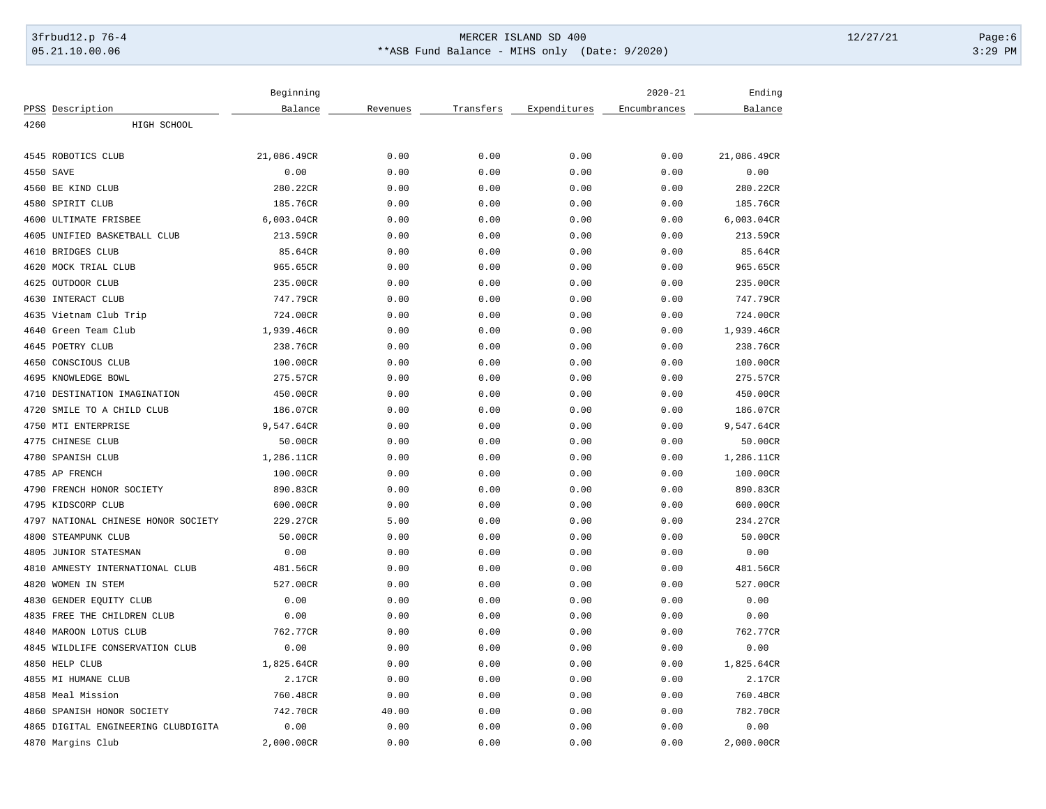# 3frbud12.p 76-4 Page:6 05.21.10.00.06 \*\*ASB Fund Balance - MIHS only (Date: 9/2020) 3:29 PM

|                                     | Beginning   |          |           |              | $2020 - 21$  | Ending      |
|-------------------------------------|-------------|----------|-----------|--------------|--------------|-------------|
| PPSS Description                    | Balance     | Revenues | Transfers | Expenditures | Encumbrances | Balance     |
| 4260<br>HIGH SCHOOL                 |             |          |           |              |              |             |
| 4545 ROBOTICS CLUB                  | 21,086.49CR | 0.00     | 0.00      | 0.00         | 0.00         | 21,086.49CR |
| 4550<br>SAVE                        | 0.00        | 0.00     | 0.00      | 0.00         | 0.00         | 0.00        |
| 4560 BE KIND CLUB                   | 280.22CR    | 0.00     | 0.00      | 0.00         | 0.00         | 280.22CR    |
| 4580 SPIRIT CLUB                    | 185.76CR    | 0.00     | 0.00      | 0.00         | 0.00         | 185.76CR    |
| ULTIMATE FRISBEE<br>4600            | 6,003.04CR  | 0.00     | 0.00      | 0.00         | 0.00         | 6,003.04CR  |
| 4605 UNIFIED BASKETBALL CLUB        | 213.59CR    | 0.00     | 0.00      | 0.00         | 0.00         | 213.59CR    |
| BRIDGES CLUB<br>4610                | 85.64CR     | 0.00     | 0.00      | 0.00         | 0.00         | 85.64CR     |
| MOCK TRIAL CLUB<br>4620             | 965.65CR    | 0.00     | 0.00      | 0.00         | 0.00         | 965.65CR    |
| 4625 OUTDOOR CLUB                   | 235.00CR    | 0.00     | 0.00      | 0.00         | 0.00         | 235.00CR    |
| INTERACT CLUB<br>4630               | 747.79CR    | 0.00     | 0.00      | 0.00         | 0.00         | 747.79CR    |
| 4635 Vietnam Club Trip              | 724.00CR    | 0.00     | 0.00      | 0.00         | 0.00         | 724.00CR    |
| 4640<br>Green Team Club             | 1,939.46CR  | 0.00     | 0.00      | 0.00         | 0.00         | 1,939.46CR  |
| 4645 POETRY CLUB                    | 238.76CR    | 0.00     | 0.00      | 0.00         | 0.00         | 238.76CR    |
| 4650<br>CONSCIOUS CLUB              | 100.00CR    | 0.00     | 0.00      | 0.00         | 0.00         | 100.00CR    |
| 4695 KNOWLEDGE BOWL                 | 275.57CR    | 0.00     | 0.00      | 0.00         | 0.00         | 275.57CR    |
| DESTINATION IMAGINATION<br>4710     | 450.00CR    | 0.00     | 0.00      | 0.00         | 0.00         | 450.00CR    |
| 4720<br>SMILE TO A CHILD CLUB       | 186.07CR    | 0.00     | 0.00      | 0.00         | 0.00         | 186.07CR    |
| 4750 MTI ENTERPRISE                 | 9,547.64CR  | 0.00     | 0.00      | 0.00         | 0.00         | 9,547.64CR  |
| 4775 CHINESE CLUB                   | 50.00CR     | 0.00     | 0.00      | 0.00         | 0.00         | 50.00CR     |
| 4780<br>SPANISH CLUB                | 1,286.11CR  | 0.00     | 0.00      | 0.00         | 0.00         | 1,286.11CR  |
| 4785 AP FRENCH                      | 100.00CR    | 0.00     | 0.00      | 0.00         | 0.00         | 100.00CR    |
| 4790<br>FRENCH HONOR SOCIETY        | 890.83CR    | 0.00     | 0.00      | 0.00         | 0.00         | 890.83CR    |
| 4795 KIDSCORP CLUB                  | 600.00CR    | 0.00     | 0.00      | 0.00         | 0.00         | 600.00CR    |
| 4797 NATIONAL CHINESE HONOR SOCIETY | 229.27CR    | 5.00     | 0.00      | 0.00         | 0.00         | 234.27CR    |
| 4800<br>STEAMPUNK CLUB              | 50.00CR     | 0.00     | 0.00      | 0.00         | 0.00         | 50.00CR     |
| 4805<br>JUNIOR STATESMAN            | 0.00        | 0.00     | 0.00      | 0.00         | 0.00         | 0.00        |
| 4810<br>AMNESTY INTERNATIONAL CLUB  | 481.56CR    | 0.00     | 0.00      | 0.00         | 0.00         | 481.56CR    |
| 4820<br>WOMEN IN STEM               | 527.00CR    | 0.00     | 0.00      | 0.00         | 0.00         | 527.00CR    |
| GENDER EQUITY CLUB<br>4830          | 0.00        | 0.00     | 0.00      | 0.00         | 0.00         | 0.00        |
| 4835 FREE THE CHILDREN CLUB         | 0.00        | 0.00     | 0.00      | 0.00         | 0.00         | 0.00        |
| 4840<br>MAROON LOTUS CLUB           | 762.77CR    | 0.00     | 0.00      | 0.00         | 0.00         | 762.77CR    |
| 4845 WILDLIFE CONSERVATION CLUB     | 0.00        | 0.00     | 0.00      | 0.00         | 0.00         | 0.00        |
| 4850 HELP CLUB                      | 1,825.64CR  | 0.00     | 0.00      | 0.00         | 0.00         | 1,825.64CR  |
| 4855 MI HUMANE CLUB                 | 2.17CR      | 0.00     | 0.00      | 0.00         | 0.00         | 2.17CR      |
| 4858 Meal Mission                   | 760.48CR    | 0.00     | 0.00      | 0.00         | 0.00         | 760.48CR    |
| 4860<br>SPANISH HONOR SOCIETY       | 742.70CR    | 40.00    | 0.00      | 0.00         | 0.00         | 782.70CR    |
| 4865 DIGITAL ENGINEERING CLUBDIGITA | 0.00        | 0.00     | 0.00      | 0.00         | 0.00         | 0.00        |
| 4870 Margins Club                   | 2,000.00CR  | 0.00     | 0.00      | 0.00         | 0.00         | 2,000.00CR  |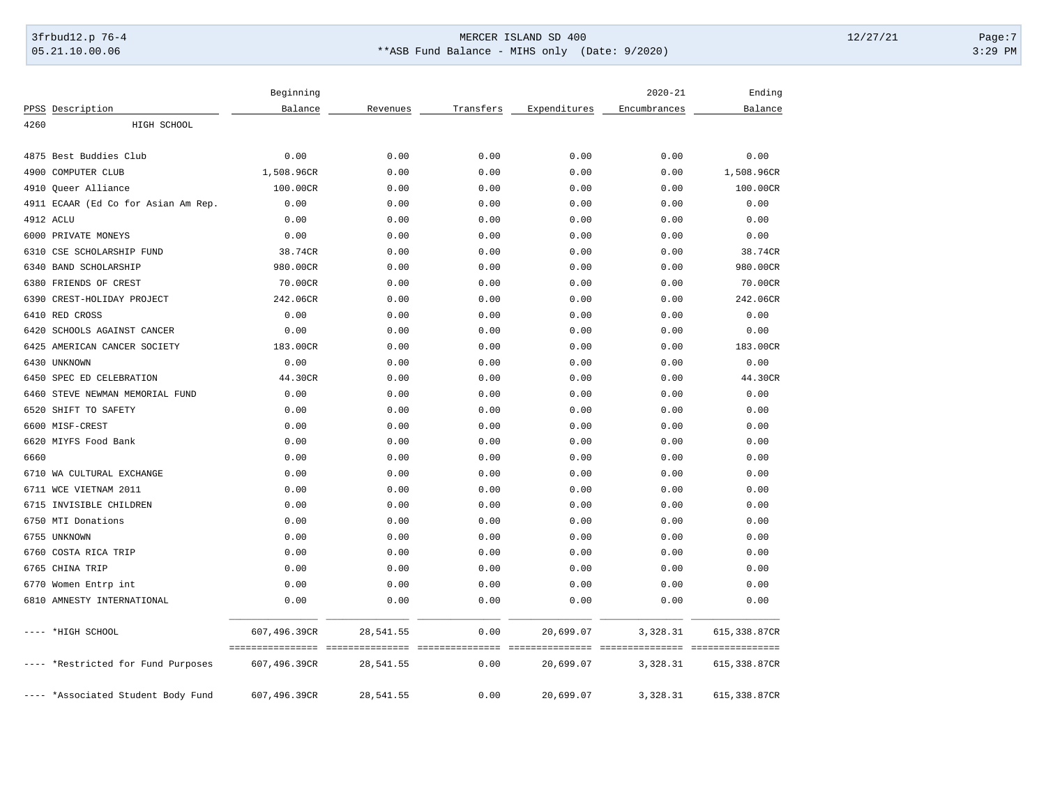# 3frbud12.p 76-4 Page:7 Page:7 05.21.10.00.06 \*\*ASB Fund Balance - MIHS only (Date: 9/2020) 3:29 PM

|                                     | Beginning                                         |           |           |              | $2020 - 21$                                       | Ending       |
|-------------------------------------|---------------------------------------------------|-----------|-----------|--------------|---------------------------------------------------|--------------|
| PPSS Description                    | Balance                                           | Revenues  | Transfers | Expenditures | Encumbrances                                      | Balance      |
| 4260<br>HIGH SCHOOL                 |                                                   |           |           |              |                                                   |              |
| Best Buddies Club<br>4875           | 0.00                                              | 0.00      | 0.00      | 0.00         | 0.00                                              | 0.00         |
| COMPUTER CLUB<br>4900               | 1,508.96CR                                        | 0.00      | 0.00      | 0.00         | 0.00                                              | 1,508.96CR   |
| 4910<br>Queer Alliance              | 100.00CR                                          | 0.00      | 0.00      | 0.00         | 0.00                                              | 100.00CR     |
| 4911 ECAAR (Ed Co for Asian Am Rep. | 0.00                                              | 0.00      | 0.00      | 0.00         | 0.00                                              | 0.00         |
| 4912 ACLU                           | 0.00                                              | 0.00      | 0.00      | 0.00         | 0.00                                              | 0.00         |
| 6000 PRIVATE MONEYS                 | 0.00                                              | 0.00      | 0.00      | 0.00         | 0.00                                              | 0.00         |
| 6310<br>CSE SCHOLARSHIP FUND        | 38.74CR                                           | 0.00      | 0.00      | 0.00         | 0.00                                              | 38.74CR      |
| <b>BAND SCHOLARSHIP</b><br>6340     | 980.00CR                                          | 0.00      | 0.00      | 0.00         | 0.00                                              | 980.00CR     |
| 6380<br>FRIENDS OF CREST            | 70.00CR                                           | 0.00      | 0.00      | 0.00         | 0.00                                              | 70.00CR      |
| 6390<br>CREST-HOLIDAY PROJECT       | 242.06CR                                          | 0.00      | 0.00      | 0.00         | 0.00                                              | 242.06CR     |
| 6410<br>RED CROSS                   | 0.00                                              | 0.00      | 0.00      | 0.00         | 0.00                                              | 0.00         |
| 6420<br>SCHOOLS AGAINST CANCER      | 0.00                                              | 0.00      | 0.00      | 0.00         | 0.00                                              | 0.00         |
| 6425<br>AMERICAN CANCER SOCIETY     | 183.00CR                                          | 0.00      | 0.00      | 0.00         | 0.00                                              | 183.00CR     |
| 6430<br>UNKNOWN                     | 0.00                                              | 0.00      | 0.00      | 0.00         | 0.00                                              | 0.00         |
| SPEC ED CELEBRATION<br>6450         | 44.30CR                                           | 0.00      | 0.00      | 0.00         | 0.00                                              | 44.30CR      |
| 6460<br>STEVE NEWMAN MEMORIAL FUND  | 0.00                                              | 0.00      | 0.00      | 0.00         | 0.00                                              | 0.00         |
| SHIFT TO SAFETY<br>6520             | 0.00                                              | 0.00      | 0.00      | 0.00         | 0.00                                              | 0.00         |
| 6600 MISF-CREST                     | 0.00                                              | 0.00      | 0.00      | 0.00         | 0.00                                              | 0.00         |
| 6620 MIYFS Food Bank                | 0.00                                              | 0.00      | 0.00      | 0.00         | 0.00                                              | 0.00         |
| 6660                                | 0.00                                              | 0.00      | 0.00      | 0.00         | 0.00                                              | 0.00         |
| 6710 WA CULTURAL EXCHANGE           | 0.00                                              | 0.00      | 0.00      | 0.00         | 0.00                                              | 0.00         |
| 6711 WCE VIETNAM 2011               | 0.00                                              | 0.00      | 0.00      | 0.00         | 0.00                                              | 0.00         |
| 6715<br>INVISIBLE CHILDREN          | 0.00                                              | 0.00      | 0.00      | 0.00         | 0.00                                              | 0.00         |
| 6750 MTI Donations                  | 0.00                                              | 0.00      | 0.00      | 0.00         | 0.00                                              | 0.00         |
| 6755<br>UNKNOWN                     | 0.00                                              | 0.00      | 0.00      | 0.00         | 0.00                                              | 0.00         |
| 6760<br>COSTA RICA TRIP             | 0.00                                              | 0.00      | 0.00      | 0.00         | 0.00                                              | 0.00         |
| 6765<br>CHINA TRIP                  | 0.00                                              | 0.00      | 0.00      | 0.00         | 0.00                                              | 0.00         |
| 6770 Women Entrp int                | 0.00                                              | 0.00      | 0.00      | 0.00         | 0.00                                              | 0.00         |
| 6810 AMNESTY INTERNATIONAL          | 0.00                                              | 0.00      | 0.00      | 0.00         | 0.00                                              | 0.00         |
| ---- *HIGH SCHOOL                   | 607,496.39CR                                      | 28,541.55 | 0.00      | 20,699.07    | 3,328.31                                          | 615,338.87CR |
| ---- *Restricted for Fund Purposes  | =================================<br>607,496.39CR | 28,541.55 | 0.00      | 20,699.07    | _____________________________________<br>3,328.31 | 615,338.87CR |
| ---- *Associated Student Body Fund  | 607,496.39CR                                      | 28,541.55 | 0.00      | 20,699.07    | 3,328.31                                          | 615,338.87CR |